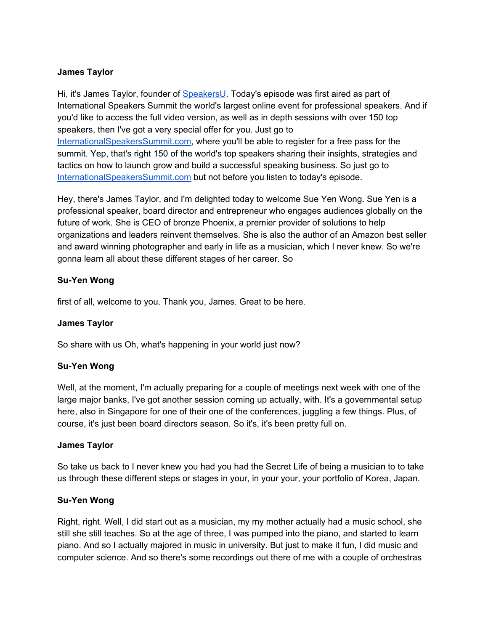#### **James Taylor**

Hi, it's James Taylor, founder of [SpeakersU.](https://speakersu.com/) Today's episode was first aired as part of International Speakers Summit the world's largest online event for professional speakers. And if you'd like to access the full video version, as well as in depth sessions with over 150 top speakers, then I've got a very special offer for you. Just go to [InternationalSpeakersSummit.com](http://internationalspeakerssummit.com/), where you'll be able to register for a free pass for the summit. Yep, that's right 150 of the world's top speakers sharing their insights, strategies and tactics on how to launch grow and build a successful speaking business. So just go t[o](http://internationalspeakerssummit.com/) [InternationalSpeakersSummit.com](http://internationalspeakerssummit.com/) but not before you listen to today's episode.

Hey, there's James Taylor, and I'm delighted today to welcome Sue Yen Wong. Sue Yen is a professional speaker, board director and entrepreneur who engages audiences globally on the future of work. She is CEO of bronze Phoenix, a premier provider of solutions to help organizations and leaders reinvent themselves. She is also the author of an Amazon best seller and award winning photographer and early in life as a musician, which I never knew. So we're gonna learn all about these different stages of her career. So

#### **Su-Yen Wong**

first of all, welcome to you. Thank you, James. Great to be here.

#### **James Taylor**

So share with us Oh, what's happening in your world just now?

## **Su-Yen Wong**

Well, at the moment, I'm actually preparing for a couple of meetings next week with one of the large major banks, I've got another session coming up actually, with. It's a governmental setup here, also in Singapore for one of their one of the conferences, juggling a few things. Plus, of course, it's just been board directors season. So it's, it's been pretty full on.

#### **James Taylor**

So take us back to I never knew you had you had the Secret Life of being a musician to to take us through these different steps or stages in your, in your your, your portfolio of Korea, Japan.

#### **Su-Yen Wong**

Right, right. Well, I did start out as a musician, my my mother actually had a music school, she still she still teaches. So at the age of three, I was pumped into the piano, and started to learn piano. And so I actually majored in music in university. But just to make it fun, I did music and computer science. And so there's some recordings out there of me with a couple of orchestras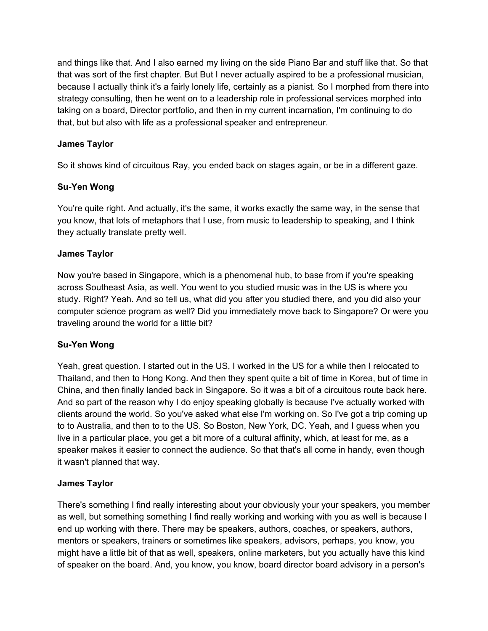and things like that. And I also earned my living on the side Piano Bar and stuff like that. So that that was sort of the first chapter. But But I never actually aspired to be a professional musician, because I actually think it's a fairly lonely life, certainly as a pianist. So I morphed from there into strategy consulting, then he went on to a leadership role in professional services morphed into taking on a board, Director portfolio, and then in my current incarnation, I'm continuing to do that, but but also with life as a professional speaker and entrepreneur.

# **James Taylor**

So it shows kind of circuitous Ray, you ended back on stages again, or be in a different gaze.

## **Su-Yen Wong**

You're quite right. And actually, it's the same, it works exactly the same way, in the sense that you know, that lots of metaphors that I use, from music to leadership to speaking, and I think they actually translate pretty well.

#### **James Taylor**

Now you're based in Singapore, which is a phenomenal hub, to base from if you're speaking across Southeast Asia, as well. You went to you studied music was in the US is where you study. Right? Yeah. And so tell us, what did you after you studied there, and you did also your computer science program as well? Did you immediately move back to Singapore? Or were you traveling around the world for a little bit?

#### **Su-Yen Wong**

Yeah, great question. I started out in the US, I worked in the US for a while then I relocated to Thailand, and then to Hong Kong. And then they spent quite a bit of time in Korea, but of time in China, and then finally landed back in Singapore. So it was a bit of a circuitous route back here. And so part of the reason why I do enjoy speaking globally is because I've actually worked with clients around the world. So you've asked what else I'm working on. So I've got a trip coming up to to Australia, and then to to the US. So Boston, New York, DC. Yeah, and I guess when you live in a particular place, you get a bit more of a cultural affinity, which, at least for me, as a speaker makes it easier to connect the audience. So that that's all come in handy, even though it wasn't planned that way.

#### **James Taylor**

There's something I find really interesting about your obviously your your speakers, you member as well, but something something I find really working and working with you as well is because I end up working with there. There may be speakers, authors, coaches, or speakers, authors, mentors or speakers, trainers or sometimes like speakers, advisors, perhaps, you know, you might have a little bit of that as well, speakers, online marketers, but you actually have this kind of speaker on the board. And, you know, you know, board director board advisory in a person's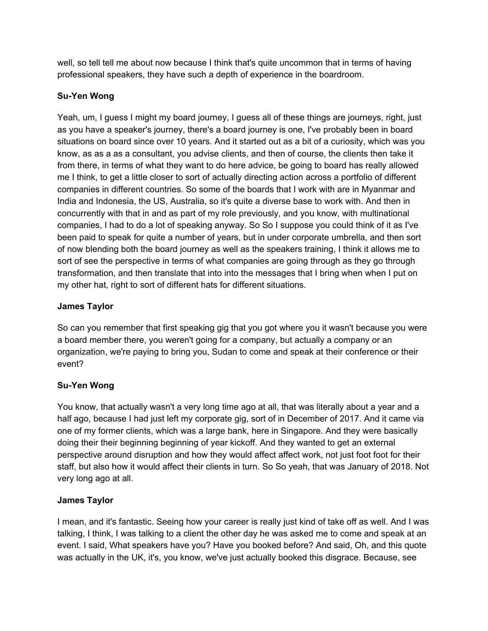well, so tell tell me about now because I think that's quite uncommon that in terms of having professional speakers, they have such a depth of experience in the boardroom.

# **Su-Yen Wong**

Yeah, um, I guess I might my board journey, I guess all of these things are journeys, right, just as you have a speaker's journey, there's a board journey is one, I've probably been in board situations on board since over 10 years. And it started out as a bit of a curiosity, which was you know, as as a as a consultant, you advise clients, and then of course, the clients then take it from there, in terms of what they want to do here advice, be going to board has really allowed me I think, to get a little closer to sort of actually directing action across a portfolio of different companies in different countries. So some of the boards that I work with are in Myanmar and India and Indonesia, the US, Australia, so it's quite a diverse base to work with. And then in concurrently with that in and as part of my role previously, and you know, with multinational companies, I had to do a lot of speaking anyway. So So I suppose you could think of it as I've been paid to speak for quite a number of years, but in under corporate umbrella, and then sort of now blending both the board journey as well as the speakers training, I think it allows me to sort of see the perspective in terms of what companies are going through as they go through transformation, and then translate that into into the messages that I bring when when I put on my other hat, right to sort of different hats for different situations.

## **James Taylor**

So can you remember that first speaking gig that you got where you it wasn't because you were a board member there, you weren't going for a company, but actually a company or an organization, we're paying to bring you, Sudan to come and speak at their conference or their event?

## **Su-Yen Wong**

You know, that actually wasn't a very long time ago at all, that was literally about a year and a half ago, because I had just left my corporate gig, sort of in December of 2017. And it came via one of my former clients, which was a large bank, here in Singapore. And they were basically doing their their beginning beginning of year kickoff. And they wanted to get an external perspective around disruption and how they would affect affect work, not just foot foot for their staff, but also how it would affect their clients in turn. So So yeah, that was January of 2018. Not very long ago at all.

## **James Taylor**

I mean, and it's fantastic. Seeing how your career is really just kind of take off as well. And I was talking, I think, I was talking to a client the other day he was asked me to come and speak at an event. I said, What speakers have you? Have you booked before? And said, Oh, and this quote was actually in the UK, it's, you know, we've just actually booked this disgrace. Because, see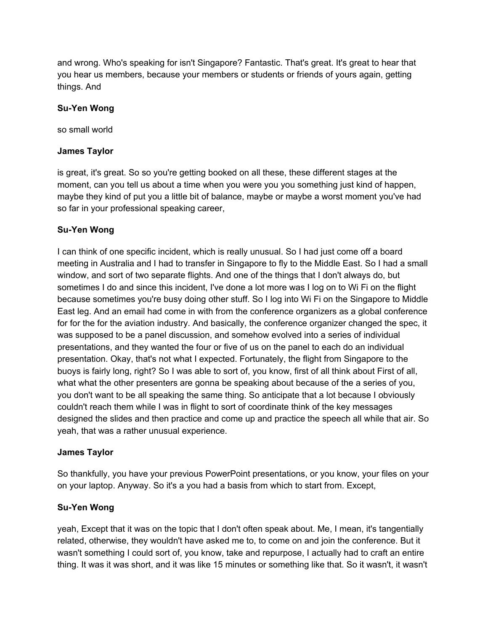and wrong. Who's speaking for isn't Singapore? Fantastic. That's great. It's great to hear that you hear us members, because your members or students or friends of yours again, getting things. And

#### **Su-Yen Wong**

so small world

#### **James Taylor**

is great, it's great. So so you're getting booked on all these, these different stages at the moment, can you tell us about a time when you were you you something just kind of happen, maybe they kind of put you a little bit of balance, maybe or maybe a worst moment you've had so far in your professional speaking career,

#### **Su-Yen Wong**

I can think of one specific incident, which is really unusual. So I had just come off a board meeting in Australia and I had to transfer in Singapore to fly to the Middle East. So I had a small window, and sort of two separate flights. And one of the things that I don't always do, but sometimes I do and since this incident, I've done a lot more was I log on to Wi Fi on the flight because sometimes you're busy doing other stuff. So I log into Wi Fi on the Singapore to Middle East leg. And an email had come in with from the conference organizers as a global conference for for the for the aviation industry. And basically, the conference organizer changed the spec, it was supposed to be a panel discussion, and somehow evolved into a series of individual presentations, and they wanted the four or five of us on the panel to each do an individual presentation. Okay, that's not what I expected. Fortunately, the flight from Singapore to the buoys is fairly long, right? So I was able to sort of, you know, first of all think about First of all, what what the other presenters are gonna be speaking about because of the a series of you, you don't want to be all speaking the same thing. So anticipate that a lot because I obviously couldn't reach them while I was in flight to sort of coordinate think of the key messages designed the slides and then practice and come up and practice the speech all while that air. So yeah, that was a rather unusual experience.

#### **James Taylor**

So thankfully, you have your previous PowerPoint presentations, or you know, your files on your on your laptop. Anyway. So it's a you had a basis from which to start from. Except,

## **Su-Yen Wong**

yeah, Except that it was on the topic that I don't often speak about. Me, I mean, it's tangentially related, otherwise, they wouldn't have asked me to, to come on and join the conference. But it wasn't something I could sort of, you know, take and repurpose, I actually had to craft an entire thing. It was it was short, and it was like 15 minutes or something like that. So it wasn't, it wasn't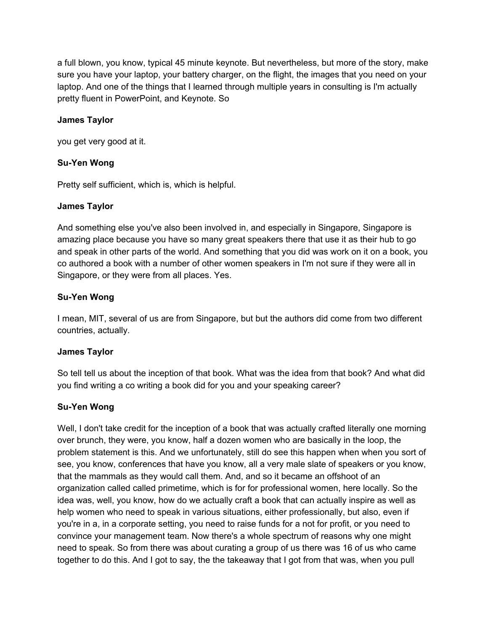a full blown, you know, typical 45 minute keynote. But nevertheless, but more of the story, make sure you have your laptop, your battery charger, on the flight, the images that you need on your laptop. And one of the things that I learned through multiple years in consulting is I'm actually pretty fluent in PowerPoint, and Keynote. So

#### **James Taylor**

you get very good at it.

#### **Su-Yen Wong**

Pretty self sufficient, which is, which is helpful.

#### **James Taylor**

And something else you've also been involved in, and especially in Singapore, Singapore is amazing place because you have so many great speakers there that use it as their hub to go and speak in other parts of the world. And something that you did was work on it on a book, you co authored a book with a number of other women speakers in I'm not sure if they were all in Singapore, or they were from all places. Yes.

#### **Su-Yen Wong**

I mean, MIT, several of us are from Singapore, but but the authors did come from two different countries, actually.

#### **James Taylor**

So tell tell us about the inception of that book. What was the idea from that book? And what did you find writing a co writing a book did for you and your speaking career?

## **Su-Yen Wong**

Well, I don't take credit for the inception of a book that was actually crafted literally one morning over brunch, they were, you know, half a dozen women who are basically in the loop, the problem statement is this. And we unfortunately, still do see this happen when when you sort of see, you know, conferences that have you know, all a very male slate of speakers or you know, that the mammals as they would call them. And, and so it became an offshoot of an organization called called primetime, which is for for professional women, here locally. So the idea was, well, you know, how do we actually craft a book that can actually inspire as well as help women who need to speak in various situations, either professionally, but also, even if you're in a, in a corporate setting, you need to raise funds for a not for profit, or you need to convince your management team. Now there's a whole spectrum of reasons why one might need to speak. So from there was about curating a group of us there was 16 of us who came together to do this. And I got to say, the the takeaway that I got from that was, when you pull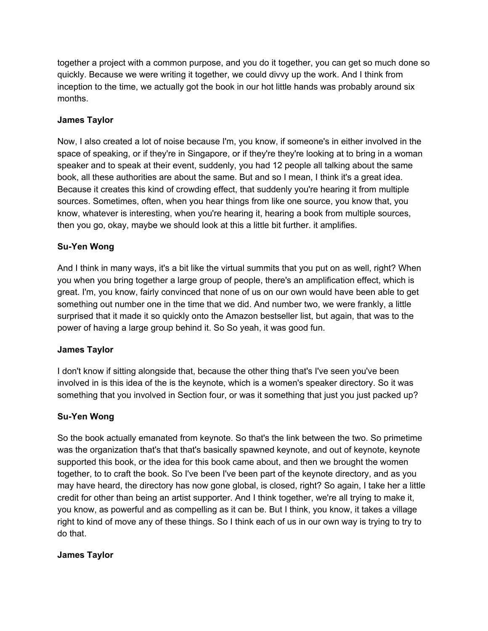together a project with a common purpose, and you do it together, you can get so much done so quickly. Because we were writing it together, we could divvy up the work. And I think from inception to the time, we actually got the book in our hot little hands was probably around six months.

# **James Taylor**

Now, I also created a lot of noise because I'm, you know, if someone's in either involved in the space of speaking, or if they're in Singapore, or if they're they're looking at to bring in a woman speaker and to speak at their event, suddenly, you had 12 people all talking about the same book, all these authorities are about the same. But and so I mean, I think it's a great idea. Because it creates this kind of crowding effect, that suddenly you're hearing it from multiple sources. Sometimes, often, when you hear things from like one source, you know that, you know, whatever is interesting, when you're hearing it, hearing a book from multiple sources, then you go, okay, maybe we should look at this a little bit further. it amplifies.

## **Su-Yen Wong**

And I think in many ways, it's a bit like the virtual summits that you put on as well, right? When you when you bring together a large group of people, there's an amplification effect, which is great. I'm, you know, fairly convinced that none of us on our own would have been able to get something out number one in the time that we did. And number two, we were frankly, a little surprised that it made it so quickly onto the Amazon bestseller list, but again, that was to the power of having a large group behind it. So So yeah, it was good fun.

## **James Taylor**

I don't know if sitting alongside that, because the other thing that's I've seen you've been involved in is this idea of the is the keynote, which is a women's speaker directory. So it was something that you involved in Section four, or was it something that just you just packed up?

## **Su-Yen Wong**

So the book actually emanated from keynote. So that's the link between the two. So primetime was the organization that's that that's basically spawned keynote, and out of keynote, keynote supported this book, or the idea for this book came about, and then we brought the women together, to to craft the book. So I've been I've been part of the keynote directory, and as you may have heard, the directory has now gone global, is closed, right? So again, I take her a little credit for other than being an artist supporter. And I think together, we're all trying to make it, you know, as powerful and as compelling as it can be. But I think, you know, it takes a village right to kind of move any of these things. So I think each of us in our own way is trying to try to do that.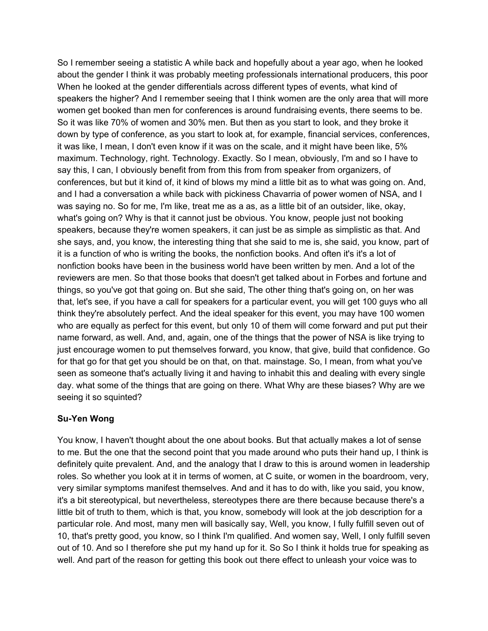So I remember seeing a statistic A while back and hopefully about a year ago, when he looked about the gender I think it was probably meeting professionals international producers, this poor When he looked at the gender differentials across different types of events, what kind of speakers the higher? And I remember seeing that I think women are the only area that will more women get booked than men for conferences is around fundraising events, there seems to be. So it was like 70% of women and 30% men. But then as you start to look, and they broke it down by type of conference, as you start to look at, for example, financial services, conferences, it was like, I mean, I don't even know if it was on the scale, and it might have been like, 5% maximum. Technology, right. Technology. Exactly. So I mean, obviously, I'm and so I have to say this, I can, I obviously benefit from from this from from speaker from organizers, of conferences, but but it kind of, it kind of blows my mind a little bit as to what was going on. And, and I had a conversation a while back with pickiness Chavarria of power women of NSA, and I was saying no. So for me, I'm like, treat me as a as, as a little bit of an outsider, like, okay, what's going on? Why is that it cannot just be obvious. You know, people just not booking speakers, because they're women speakers, it can just be as simple as simplistic as that. And she says, and, you know, the interesting thing that she said to me is, she said, you know, part of it is a function of who is writing the books, the nonfiction books. And often it's it's a lot of nonfiction books have been in the business world have been written by men. And a lot of the reviewers are men. So that those books that doesn't get talked about in Forbes and fortune and things, so you've got that going on. But she said, The other thing that's going on, on her was that, let's see, if you have a call for speakers for a particular event, you will get 100 guys who all think they're absolutely perfect. And the ideal speaker for this event, you may have 100 women who are equally as perfect for this event, but only 10 of them will come forward and put put their name forward, as well. And, and, again, one of the things that the power of NSA is like trying to just encourage women to put themselves forward, you know, that give, build that confidence. Go for that go for that get you should be on that, on that. mainstage. So, I mean, from what you've seen as someone that's actually living it and having to inhabit this and dealing with every single day. what some of the things that are going on there. What Why are these biases? Why are we seeing it so squinted?

## **Su-Yen Wong**

You know, I haven't thought about the one about books. But that actually makes a lot of sense to me. But the one that the second point that you made around who puts their hand up, I think is definitely quite prevalent. And, and the analogy that I draw to this is around women in leadership roles. So whether you look at it in terms of women, at C suite, or women in the boardroom, very, very similar symptoms manifest themselves. And and it has to do with, like you said, you know, it's a bit stereotypical, but nevertheless, stereotypes there are there because because there's a little bit of truth to them, which is that, you know, somebody will look at the job description for a particular role. And most, many men will basically say, Well, you know, I fully fulfill seven out of 10, that's pretty good, you know, so I think I'm qualified. And women say, Well, I only fulfill seven out of 10. And so I therefore she put my hand up for it. So So I think it holds true for speaking as well. And part of the reason for getting this book out there effect to unleash your voice was to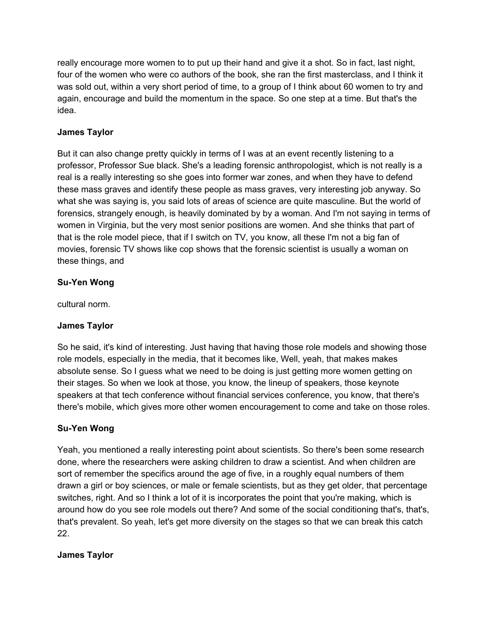really encourage more women to to put up their hand and give it a shot. So in fact, last night, four of the women who were co authors of the book, she ran the first masterclass, and I think it was sold out, within a very short period of time, to a group of I think about 60 women to try and again, encourage and build the momentum in the space. So one step at a time. But that's the idea.

# **James Taylor**

But it can also change pretty quickly in terms of I was at an event recently listening to a professor, Professor Sue black. She's a leading forensic anthropologist, which is not really is a real is a really interesting so she goes into former war zones, and when they have to defend these mass graves and identify these people as mass graves, very interesting job anyway. So what she was saying is, you said lots of areas of science are quite masculine. But the world of forensics, strangely enough, is heavily dominated by by a woman. And I'm not saying in terms of women in Virginia, but the very most senior positions are women. And she thinks that part of that is the role model piece, that if I switch on TV, you know, all these I'm not a big fan of movies, forensic TV shows like cop shows that the forensic scientist is usually a woman on these things, and

# **Su-Yen Wong**

cultural norm.

## **James Taylor**

So he said, it's kind of interesting. Just having that having those role models and showing those role models, especially in the media, that it becomes like, Well, yeah, that makes makes absolute sense. So I guess what we need to be doing is just getting more women getting on their stages. So when we look at those, you know, the lineup of speakers, those keynote speakers at that tech conference without financial services conference, you know, that there's there's mobile, which gives more other women encouragement to come and take on those roles.

## **Su-Yen Wong**

Yeah, you mentioned a really interesting point about scientists. So there's been some research done, where the researchers were asking children to draw a scientist. And when children are sort of remember the specifics around the age of five, in a roughly equal numbers of them drawn a girl or boy sciences, or male or female scientists, but as they get older, that percentage switches, right. And so I think a lot of it is incorporates the point that you're making, which is around how do you see role models out there? And some of the social conditioning that's, that's, that's prevalent. So yeah, let's get more diversity on the stages so that we can break this catch 22.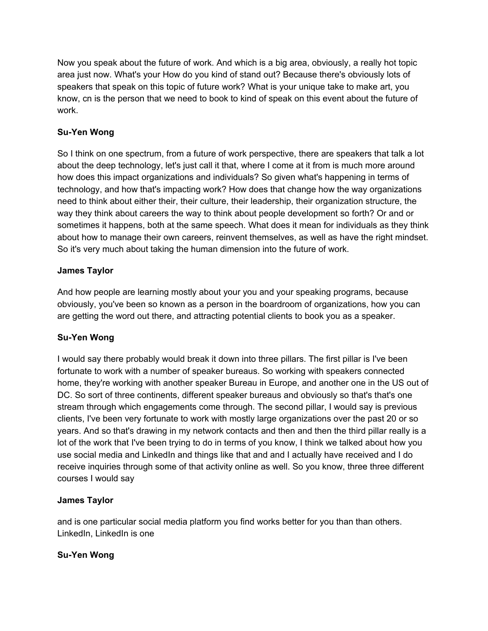Now you speak about the future of work. And which is a big area, obviously, a really hot topic area just now. What's your How do you kind of stand out? Because there's obviously lots of speakers that speak on this topic of future work? What is your unique take to make art, you know, cn is the person that we need to book to kind of speak on this event about the future of work.

# **Su-Yen Wong**

So I think on one spectrum, from a future of work perspective, there are speakers that talk a lot about the deep technology, let's just call it that, where I come at it from is much more around how does this impact organizations and individuals? So given what's happening in terms of technology, and how that's impacting work? How does that change how the way organizations need to think about either their, their culture, their leadership, their organization structure, the way they think about careers the way to think about people development so forth? Or and or sometimes it happens, both at the same speech. What does it mean for individuals as they think about how to manage their own careers, reinvent themselves, as well as have the right mindset. So it's very much about taking the human dimension into the future of work.

## **James Taylor**

And how people are learning mostly about your you and your speaking programs, because obviously, you've been so known as a person in the boardroom of organizations, how you can are getting the word out there, and attracting potential clients to book you as a speaker.

# **Su-Yen Wong**

I would say there probably would break it down into three pillars. The first pillar is I've been fortunate to work with a number of speaker bureaus. So working with speakers connected home, they're working with another speaker Bureau in Europe, and another one in the US out of DC. So sort of three continents, different speaker bureaus and obviously so that's that's one stream through which engagements come through. The second pillar, I would say is previous clients, I've been very fortunate to work with mostly large organizations over the past 20 or so years. And so that's drawing in my network contacts and then and then the third pillar really is a lot of the work that I've been trying to do in terms of you know, I think we talked about how you use social media and LinkedIn and things like that and and I actually have received and I do receive inquiries through some of that activity online as well. So you know, three three different courses I would say

## **James Taylor**

and is one particular social media platform you find works better for you than than others. LinkedIn, LinkedIn is one

## **Su-Yen Wong**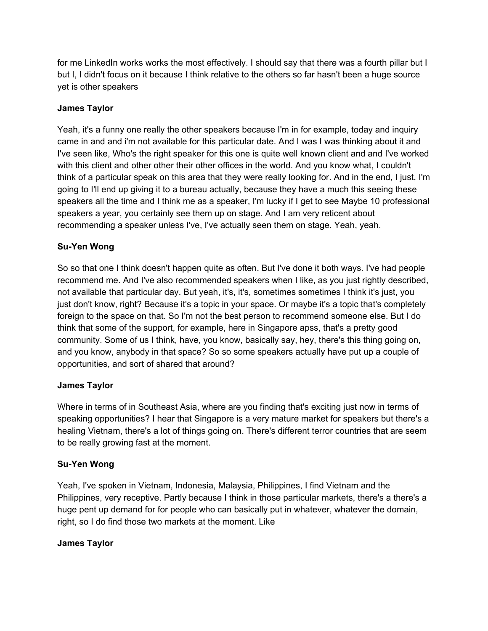for me LinkedIn works works the most effectively. I should say that there was a fourth pillar but I but I, I didn't focus on it because I think relative to the others so far hasn't been a huge source yet is other speakers

# **James Taylor**

Yeah, it's a funny one really the other speakers because I'm in for example, today and inquiry came in and and i'm not available for this particular date. And I was I was thinking about it and I've seen like, Who's the right speaker for this one is quite well known client and and I've worked with this client and other other their other offices in the world. And you know what, I couldn't think of a particular speak on this area that they were really looking for. And in the end, I just, I'm going to I'll end up giving it to a bureau actually, because they have a much this seeing these speakers all the time and I think me as a speaker, I'm lucky if I get to see Maybe 10 professional speakers a year, you certainly see them up on stage. And I am very reticent about recommending a speaker unless I've, I've actually seen them on stage. Yeah, yeah.

## **Su-Yen Wong**

So so that one I think doesn't happen quite as often. But I've done it both ways. I've had people recommend me. And I've also recommended speakers when I like, as you just rightly described, not available that particular day. But yeah, it's, it's, sometimes sometimes I think it's just, you just don't know, right? Because it's a topic in your space. Or maybe it's a topic that's completely foreign to the space on that. So I'm not the best person to recommend someone else. But I do think that some of the support, for example, here in Singapore apss, that's a pretty good community. Some of us I think, have, you know, basically say, hey, there's this thing going on, and you know, anybody in that space? So so some speakers actually have put up a couple of opportunities, and sort of shared that around?

## **James Taylor**

Where in terms of in Southeast Asia, where are you finding that's exciting just now in terms of speaking opportunities? I hear that Singapore is a very mature market for speakers but there's a healing Vietnam, there's a lot of things going on. There's different terror countries that are seem to be really growing fast at the moment.

## **Su-Yen Wong**

Yeah, I've spoken in Vietnam, Indonesia, Malaysia, Philippines, I find Vietnam and the Philippines, very receptive. Partly because I think in those particular markets, there's a there's a huge pent up demand for for people who can basically put in whatever, whatever the domain, right, so I do find those two markets at the moment. Like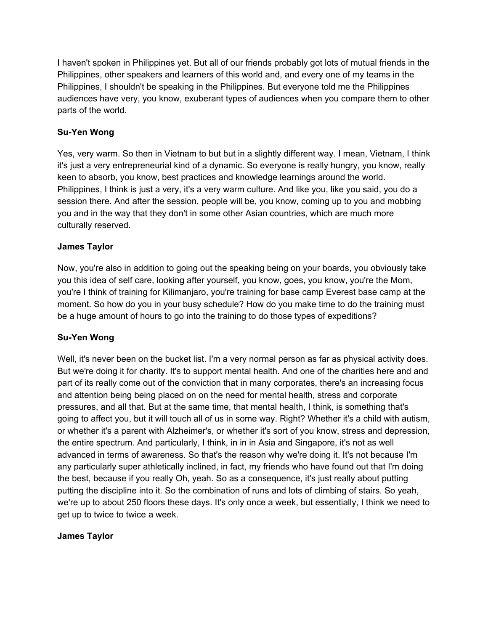I haven't spoken in Philippines yet. But all of our friends probably got lots of mutual friends in the Philippines, other speakers and learners of this world and, and every one of my teams in the Philippines, I shouldn't be speaking in the Philippines. But everyone told me the Philippines audiences have very, you know, exuberant types of audiences when you compare them to other parts of the world.

# **Su-Yen Wong**

Yes, very warm. So then in Vietnam to but but in a slightly different way. I mean, Vietnam, I think it's just a very entrepreneurial kind of a dynamic. So everyone is really hungry, you know, really keen to absorb, you know, best practices and knowledge learnings around the world. Philippines, I think is just a very, it's a very warm culture. And like you, like you said, you do a session there. And after the session, people will be, you know, coming up to you and mobbing you and in the way that they don't in some other Asian countries, which are much more culturally reserved.

## **James Taylor**

Now, you're also in addition to going out the speaking being on your boards, you obviously take you this idea of self care, looking after yourself, you know, goes, you know, you're the Mom, you're I think of training for Kilimanjaro, you're training for base camp Everest base camp at the moment. So how do you in your busy schedule? How do you make time to do the training must be a huge amount of hours to go into the training to do those types of expeditions?

## **Su-Yen Wong**

Well, it's never been on the bucket list. I'm a very normal person as far as physical activity does. But we're doing it for charity. It's to support mental health. And one of the charities here and and part of its really come out of the conviction that in many corporates, there's an increasing focus and attention being being placed on on the need for mental health, stress and corporate pressures, and all that. But at the same time, that mental health, I think, is something that's going to affect you, but it will touch all of us in some way. Right? Whether it's a child with autism, or whether it's a parent with Alzheimer's, or whether it's sort of you know, stress and depression, the entire spectrum. And particularly, I think, in in in Asia and Singapore, it's not as well advanced in terms of awareness. So that's the reason why we're doing it. It's not because I'm any particularly super athletically inclined, in fact, my friends who have found out that I'm doing the best, because if you really Oh, yeah. So as a consequence, it's just really about putting putting the discipline into it. So the combination of runs and lots of climbing of stairs. So yeah, we're up to about 250 floors these days. It's only once a week, but essentially, I think we need to get up to twice to twice a week.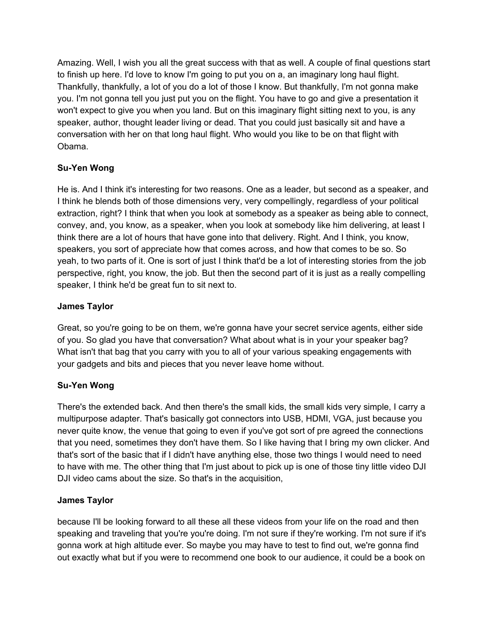Amazing. Well, I wish you all the great success with that as well. A couple of final questions start to finish up here. I'd love to know I'm going to put you on a, an imaginary long haul flight. Thankfully, thankfully, a lot of you do a lot of those I know. But thankfully, I'm not gonna make you. I'm not gonna tell you just put you on the flight. You have to go and give a presentation it won't expect to give you when you land. But on this imaginary flight sitting next to you, is any speaker, author, thought leader living or dead. That you could just basically sit and have a conversation with her on that long haul flight. Who would you like to be on that flight with Obama.

# **Su-Yen Wong**

He is. And I think it's interesting for two reasons. One as a leader, but second as a speaker, and I think he blends both of those dimensions very, very compellingly, regardless of your political extraction, right? I think that when you look at somebody as a speaker as being able to connect, convey, and, you know, as a speaker, when you look at somebody like him delivering, at least I think there are a lot of hours that have gone into that delivery. Right. And I think, you know, speakers, you sort of appreciate how that comes across, and how that comes to be so. So yeah, to two parts of it. One is sort of just I think that'd be a lot of interesting stories from the job perspective, right, you know, the job. But then the second part of it is just as a really compelling speaker, I think he'd be great fun to sit next to.

## **James Taylor**

Great, so you're going to be on them, we're gonna have your secret service agents, either side of you. So glad you have that conversation? What about what is in your your speaker bag? What isn't that bag that you carry with you to all of your various speaking engagements with your gadgets and bits and pieces that you never leave home without.

## **Su-Yen Wong**

There's the extended back. And then there's the small kids, the small kids very simple, I carry a multipurpose adapter. That's basically got connectors into USB, HDMI, VGA, just because you never quite know, the venue that going to even if you've got sort of pre agreed the connections that you need, sometimes they don't have them. So I like having that I bring my own clicker. And that's sort of the basic that if I didn't have anything else, those two things I would need to need to have with me. The other thing that I'm just about to pick up is one of those tiny little video DJI DJI video cams about the size. So that's in the acquisition,

## **James Taylor**

because I'll be looking forward to all these all these videos from your life on the road and then speaking and traveling that you're you're doing. I'm not sure if they're working. I'm not sure if it's gonna work at high altitude ever. So maybe you may have to test to find out, we're gonna find out exactly what but if you were to recommend one book to our audience, it could be a book on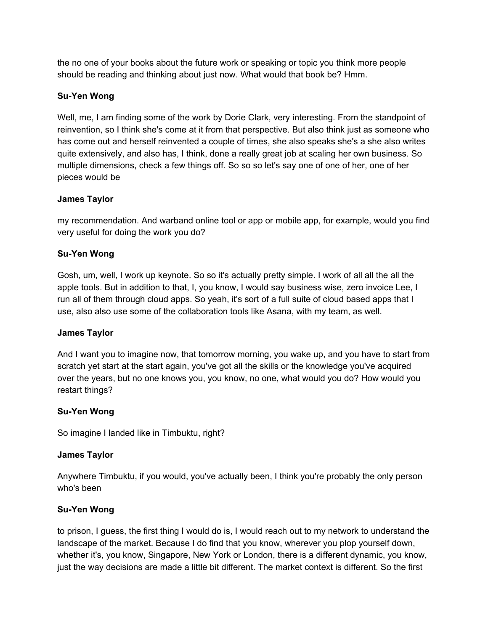the no one of your books about the future work or speaking or topic you think more people should be reading and thinking about just now. What would that book be? Hmm.

# **Su-Yen Wong**

Well, me, I am finding some of the work by Dorie Clark, very interesting. From the standpoint of reinvention, so I think she's come at it from that perspective. But also think just as someone who has come out and herself reinvented a couple of times, she also speaks she's a she also writes quite extensively, and also has, I think, done a really great job at scaling her own business. So multiple dimensions, check a few things off. So so so let's say one of one of her, one of her pieces would be

## **James Taylor**

my recommendation. And warband online tool or app or mobile app, for example, would you find very useful for doing the work you do?

# **Su-Yen Wong**

Gosh, um, well, I work up keynote. So so it's actually pretty simple. I work of all all the all the apple tools. But in addition to that, I, you know, I would say business wise, zero invoice Lee, I run all of them through cloud apps. So yeah, it's sort of a full suite of cloud based apps that I use, also also use some of the collaboration tools like Asana, with my team, as well.

## **James Taylor**

And I want you to imagine now, that tomorrow morning, you wake up, and you have to start from scratch yet start at the start again, you've got all the skills or the knowledge you've acquired over the years, but no one knows you, you know, no one, what would you do? How would you restart things?

## **Su-Yen Wong**

So imagine I landed like in Timbuktu, right?

## **James Taylor**

Anywhere Timbuktu, if you would, you've actually been, I think you're probably the only person who's been

## **Su-Yen Wong**

to prison, I guess, the first thing I would do is, I would reach out to my network to understand the landscape of the market. Because I do find that you know, wherever you plop yourself down, whether it's, you know, Singapore, New York or London, there is a different dynamic, you know, just the way decisions are made a little bit different. The market context is different. So the first